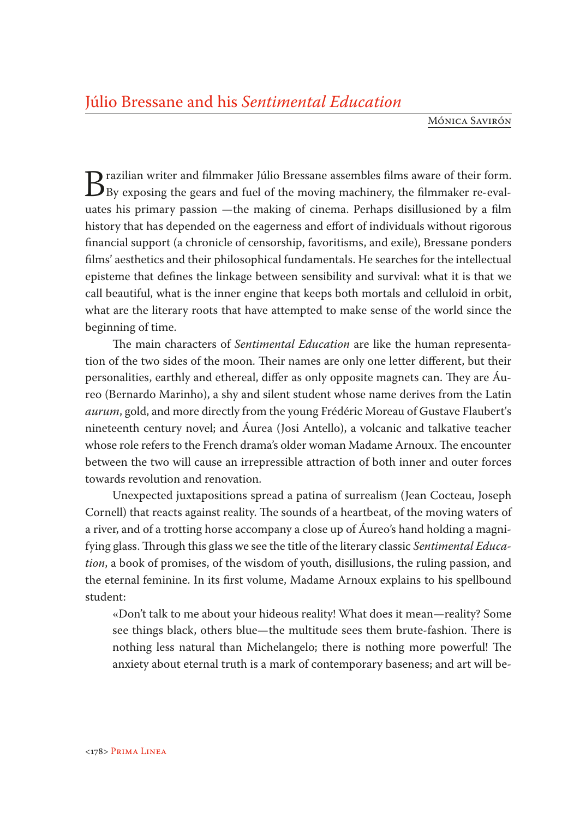Mónica Savirón

Brazilian writer and filmmaker Júlio Bressane assembles films aware of their form.<br>By exposing the gears and fuel of the moving machinery, the filmmaker re-eval-<br>ustes his primary passion the making of cinema. Perhans disi uates his primary passion —the making of cinema. Perhaps disillusioned by a film history that has depended on the eagerness and effort of individuals without rigorous financial support (a chronicle of censorship, favoritisms, and exile), Bressane ponders films' aesthetics and their philosophical fundamentals. He searches for the intellectual episteme that defines the linkage between sensibility and survival: what it is that we call beautiful, what is the inner engine that keeps both mortals and celluloid in orbit, what are the literary roots that have attempted to make sense of the world since the beginning of time.

The main characters of *Sentimental Education* are like the human representation of the two sides of the moon. Their names are only one letter different, but their personalities, earthly and ethereal, differ as only opposite magnets can. They are Áureo (Bernardo Marinho), a shy and silent student whose name derives from the Latin *aurum*, gold, and more directly from the young Frédéric Moreau of Gustave Flaubert's nineteenth century novel; and Áurea (Josi Antello), a volcanic and talkative teacher whose role refers to the French drama's older woman Madame Arnoux. The encounter between the two will cause an irrepressible attraction of both inner and outer forces towards revolution and renovation.

Unexpected juxtapositions spread a patina of surrealism (Jean Cocteau, Joseph Cornell) that reacts against reality. The sounds of a heartbeat, of the moving waters of a river, and of a trotting horse accompany a close up of Áureo's hand holding a magnifying glass. Through this glass we see the title of the literary classic *Sentimental Education*, a book of promises, of the wisdom of youth, disillusions, the ruling passion, and the eternal feminine. In its first volume, Madame Arnoux explains to his spellbound student:

«Don't talk to me about your hideous reality! What does it mean—reality? Some see things black, others blue—the multitude sees them brute-fashion. There is nothing less natural than Michelangelo; there is nothing more powerful! The anxiety about eternal truth is a mark of contemporary baseness; and art will be-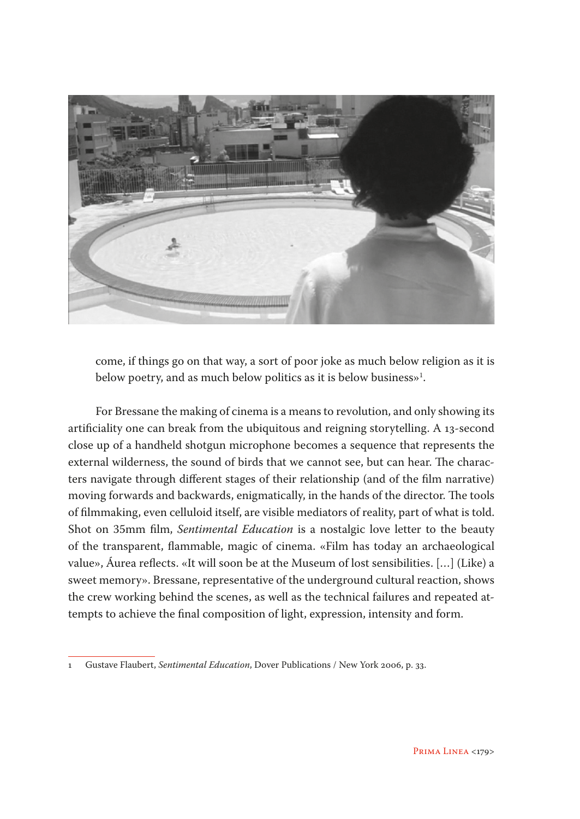

come, if things go on that way, a sort of poor joke as much below religion as it is below poetry, and as much below politics as it is below business $\mathbb{P}^1$ .

For Bressane the making of cinema is a means to revolution, and only showing its artificiality one can break from the ubiquitous and reigning storytelling. A 13-second close up of a handheld shotgun microphone becomes a sequence that represents the external wilderness, the sound of birds that we cannot see, but can hear. The characters navigate through different stages of their relationship (and of the film narrative) moving forwards and backwards, enigmatically, in the hands of the director. The tools of filmmaking, even celluloid itself, are visible mediators of reality, part of what is told. Shot on 35mm film, *Sentimental Education* is a nostalgic love letter to the beauty of the transparent, flammable, magic of cinema. «Film has today an archaeological value», Áurea reflects. «It will soon be at the Museum of lost sensibilities. […] (Like) a sweet memory». Bressane, representative of the underground cultural reaction, shows the crew working behind the scenes, as well as the technical failures and repeated attempts to achieve the final composition of light, expression, intensity and form.

<sup>1</sup> Gustave Flaubert, *Sentimental Education*, Dover Publications / New York 2006, p. 33.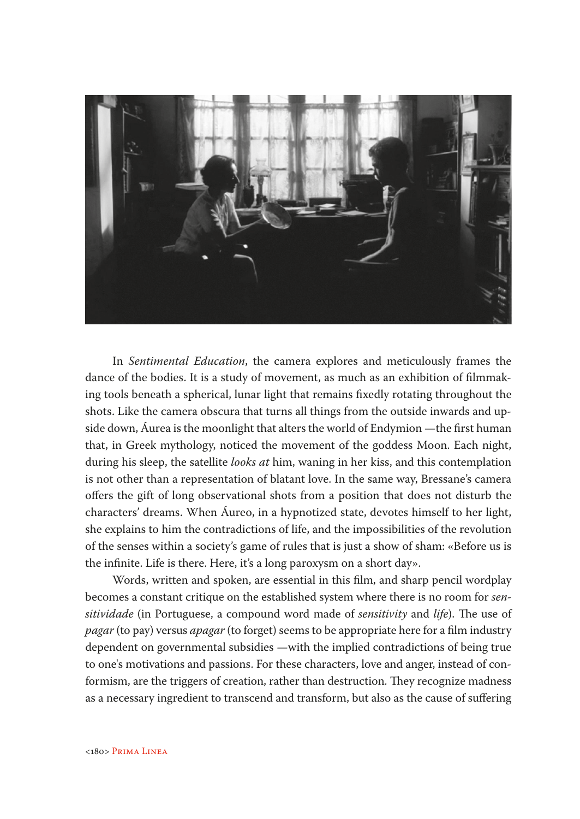

In *Sentimental Education*, the camera explores and meticulously frames the dance of the bodies. It is a study of movement, as much as an exhibition of filmmaking tools beneath a spherical, lunar light that remains fixedly rotating throughout the shots. Like the camera obscura that turns all things from the outside inwards and upside down, Áurea is the moonlight that alters the world of Endymion —the first human that, in Greek mythology, noticed the movement of the goddess Moon. Each night, during his sleep, the satellite *looks at* him, waning in her kiss, and this contemplation is not other than a representation of blatant love. In the same way, Bressane's camera offers the gift of long observational shots from a position that does not disturb the characters' dreams. When Áureo, in a hypnotized state, devotes himself to her light, she explains to him the contradictions of life, and the impossibilities of the revolution of the senses within a society's game of rules that is just a show of sham: «Before us is the infinite. Life is there. Here, it's a long paroxysm on a short day».

Words, written and spoken, are essential in this film, and sharp pencil wordplay becomes a constant critique on the established system where there is no room for *sensitividade* (in Portuguese, a compound word made of *sensitivity* and *life*). The use of *pagar* (to pay) versus *apagar* (to forget) seems to be appropriate here for a film industry dependent on governmental subsidies —with the implied contradictions of being true to one's motivations and passions. For these characters, love and anger, instead of conformism, are the triggers of creation, rather than destruction. They recognize madness as a necessary ingredient to transcend and transform, but also as the cause of suffering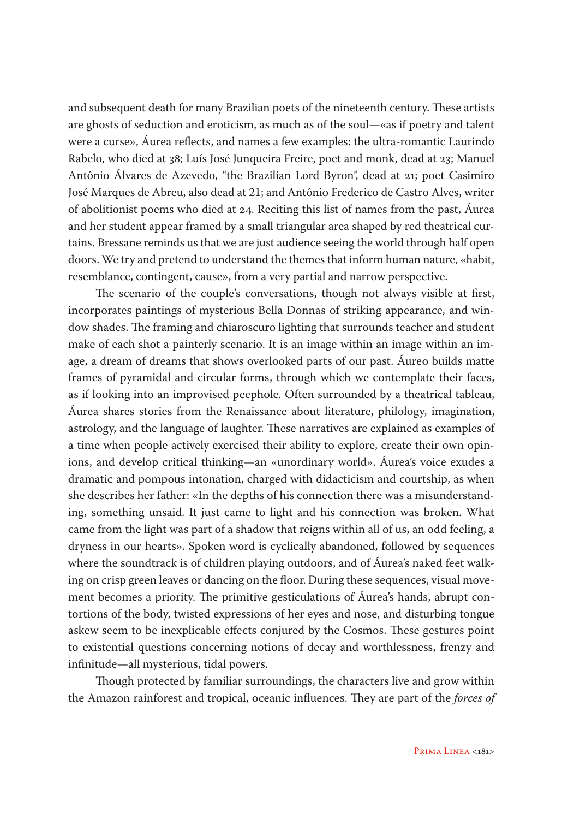and subsequent death for many Brazilian poets of the nineteenth century. These artists are ghosts of seduction and eroticism, as much as of the soul—«as if poetry and talent were a curse», Áurea reflects, and names a few examples: the ultra-romantic Laurindo Rabelo, who died at 38; Luís José Junqueira Freire, poet and monk, dead at 23; Manuel Antônio Álvares de Azevedo, "the Brazilian Lord Byron", dead at 21; poet Casimiro José Marques de Abreu, also dead at 21; and Antônio Frederico de Castro Alves, writer of abolitionist poems who died at 24. Reciting this list of names from the past, Áurea and her student appear framed by a small triangular area shaped by red theatrical curtains. Bressane reminds us that we are just audience seeing the world through half open doors. We try and pretend to understand the themes that inform human nature, «habit, resemblance, contingent, cause», from a very partial and narrow perspective.

The scenario of the couple's conversations, though not always visible at first, incorporates paintings of mysterious Bella Donnas of striking appearance, and window shades. The framing and chiaroscuro lighting that surrounds teacher and student make of each shot a painterly scenario. It is an image within an image within an image, a dream of dreams that shows overlooked parts of our past. Áureo builds matte frames of pyramidal and circular forms, through which we contemplate their faces, as if looking into an improvised peephole. Often surrounded by a theatrical tableau, Áurea shares stories from the Renaissance about literature, philology, imagination, astrology, and the language of laughter. These narratives are explained as examples of a time when people actively exercised their ability to explore, create their own opinions, and develop critical thinking—an «unordinary world». Áurea's voice exudes a dramatic and pompous intonation, charged with didacticism and courtship, as when she describes her father: «In the depths of his connection there was a misunderstanding, something unsaid. It just came to light and his connection was broken. What came from the light was part of a shadow that reigns within all of us, an odd feeling, a dryness in our hearts». Spoken word is cyclically abandoned, followed by sequences where the soundtrack is of children playing outdoors, and of Áurea's naked feet walking on crisp green leaves or dancing on the floor. During these sequences, visual movement becomes a priority. The primitive gesticulations of Áurea's hands, abrupt contortions of the body, twisted expressions of her eyes and nose, and disturbing tongue askew seem to be inexplicable effects conjured by the Cosmos. These gestures point to existential questions concerning notions of decay and worthlessness, frenzy and infinitude—all mysterious, tidal powers.

Though protected by familiar surroundings, the characters live and grow within the Amazon rainforest and tropical, oceanic influences. They are part of the *forces of*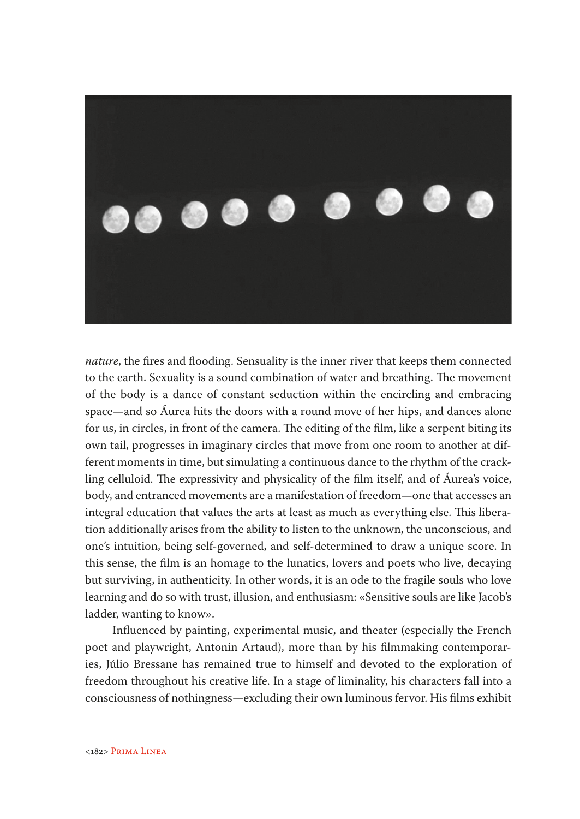

*nature*, the fires and flooding. Sensuality is the inner river that keeps them connected to the earth. Sexuality is a sound combination of water and breathing. The movement of the body is a dance of constant seduction within the encircling and embracing space—and so Áurea hits the doors with a round move of her hips, and dances alone for us, in circles, in front of the camera. The editing of the film, like a serpent biting its own tail, progresses in imaginary circles that move from one room to another at different moments in time, but simulating a continuous dance to the rhythm of the crackling celluloid. The expressivity and physicality of the film itself, and of Áurea's voice, body, and entranced movements are a manifestation of freedom—one that accesses an integral education that values the arts at least as much as everything else. This liberation additionally arises from the ability to listen to the unknown, the unconscious, and one's intuition, being self-governed, and self-determined to draw a unique score. In this sense, the film is an homage to the lunatics, lovers and poets who live, decaying but surviving, in authenticity. In other words, it is an ode to the fragile souls who love learning and do so with trust, illusion, and enthusiasm: «Sensitive souls are like Jacob's ladder, wanting to know».

Influenced by painting, experimental music, and theater (especially the French poet and playwright, Antonin Artaud), more than by his filmmaking contemporaries, Júlio Bressane has remained true to himself and devoted to the exploration of freedom throughout his creative life. In a stage of liminality, his characters fall into a consciousness of nothingness—excluding their own luminous fervor. His films exhibit